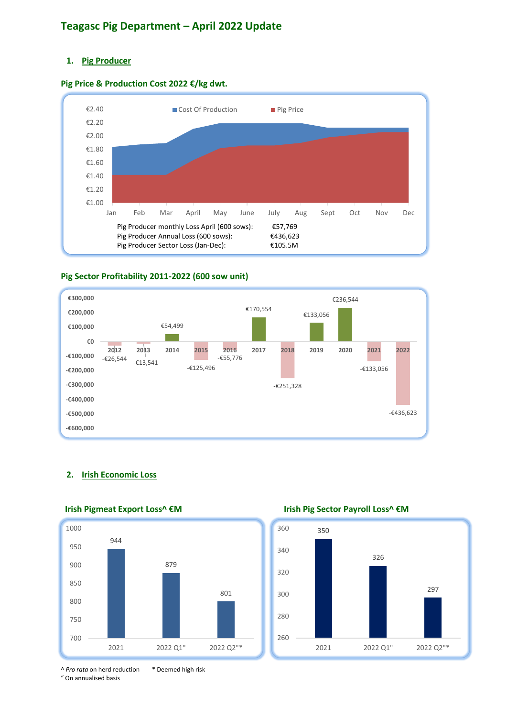# **Teagasc Pig Department – April 2022 Update**

## **1. Pig Producer**





### **Pig Sector Profitability 2011-2022 (600 sow unit)**



### **2. Irish Economic Loss**



 **Irish Pigmeat Export Loss^ €M Irish Pig Sector Payroll Loss^ €M**



^ *Pro rata* on herd reduction \* Deemed high risk " On annualised basis